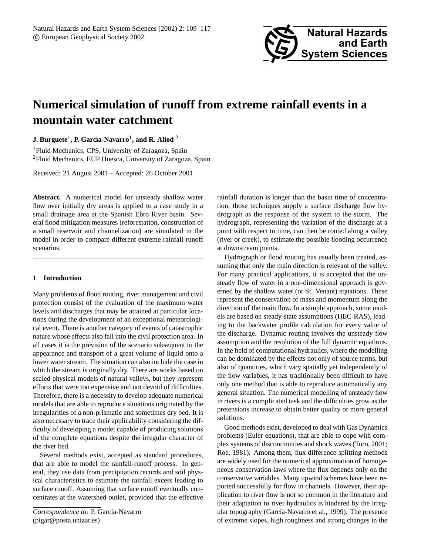

# **Numerical simulation of runoff from extreme rainfall events in a mountain water catchment**

# ${\bf J.~Burguete}^1,$   ${\bf P.~García-Navarro}^1,$  and  ${\bf R.~Aliod}~^2$

<sup>1</sup>Fluid Mechanics, CPS, University of Zaragoza, Spain <sup>2</sup>Fluid Mechanics, EUP Huesca, University of Zaragoza, Spain

Received: 21 August 2001 – Accepted: 26 October 2001

**Abstract.** A numerical model for unsteady shallow water flow over initially dry areas is applied to a case study in a small drainage area at the Spanish Ebro River basin. Several flood mitigation measures (reforestation, construction of a small reservoir and channelization) are simulated in the model in order to compare different extreme rainfall-runoff scenarios.

## **1 Introduction**

Many problems of flood routing, river management and civil protection consist of the evaluation of the maximum water levels and discharges that may be attained at particular locations during the development of an exceptional meteorological event. There is another category of events of catastrophic nature whose effects also fall into the civil protection area. In all cases it is the prevision of the scenario subsequent to the appearance and transport of a great volume of liquid onto a lower water stream. The situation can also include the case in which the stream is originally dry. There are works based on scaled physical models of natural valleys, but they represent efforts that were too expensive and not devoid of difficulties. Therefore, there is a necessity to develop adequate numerical models that are able to reproduce situations originated by the irregularities of a non-prismatic and sometimes dry bed. It is also necessary to trace their applicability considering the difficulty of developing a model capable of producing solutions of the complete equations despite the irregular character of the river bed.

Several methods exist, accepted as standard procedures, that are able to model the rainfall-runoff process. In general, they use data from precipitation records and soil physical characteristics to estimate the rainfall excess leading to surface runoff. Assuming that surface runoff eventually concentrates at the watershed outlet, provided that the effective

*Correspondence to:* P. García-Navarro (pigar@posta.unizar.es)

rainfall duration is longer than the basin time of concentration, those techniques supply a surface discharge flow hydrograph as the response of the system to the storm. The hydrograph, representing the variation of the discharge at a point with respect to time, can then be routed along a valley (river or creek), to estimate the possible flooding occurrence at downstream points.

Hydrograph or flood routing has usually been treated, assuming that only the main direction is relevant of the valley. For many practical applications, it is accepted that the unsteady flow of water in a one-dimensional approach is governed by the shallow water (or St. Venant) equations. These represent the conservation of mass and momentum along the direction of the main flow. In a simple approach, some models are based on steady-state assumptions (HEC-RAS), leading to the backwater profile calculation for every value of the discharge. Dynamic routing involves the unsteady flow assumption and the resolution of the full dynamic equations. In the field of computational hydraulics, where the modelling can be dominated by the effects not only of source terms, but also of quantities, which vary spatially yet independently of the flow variables, it has traditionally been difficult to have only one method that is able to reproduce automatically any general situation. The numerical modelling of unsteady flow in rivers is a complicated task and the difficulties grow as the pretensions increase to obtain better quality or more general solutions.

Good methods exist, developed to deal with Gas Dynamics problems (Euler equations), that are able to cope with complex systems of discontinuities and shock waves (Toro, 2001; Roe, 1981). Among them, flux difference splitting methods are widely used for the numerical approximation of homogeneous conservation laws where the flux depends only on the conservative variables. Many upwind schemes have been reported successfully for flow in channels. However, their application to river flow is not so common in the literature and their adaptation to river hydraulics is hindered by the irregular topography (García-Navarro et al., 1999). The presence of extreme slopes, high roughness and strong changes in the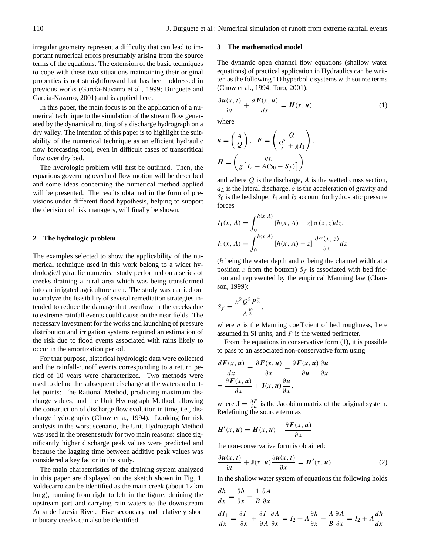irregular geometry represent a difficulty that can lead to important numerical errors presumably arising from the source terms of the equations. The extension of the basic techniques to cope with these two situations maintaining their original properties is not straightforward but has been addressed in previous works (García-Navarro et al., 1999; Burguete and García-Navarro, 2001) and is applied here.

In this paper, the main focus is on the application of a numerical technique to the simulation of the stream flow generated by the dynamical routing of a discharge hydrograph on a dry valley. The intention of this paper is to highlight the suitability of the numerical technique as an efficient hydraulic flow forecasting tool, even in difficult cases of transcritical flow over dry bed.

The hydrologic problem will first be outlined. Then, the equations governing overland flow motion will be described and some ideas concerning the numerical method applied will be presented. The results obtained in the form of previsions under different flood hypothesis, helping to support the decision of risk managers, will finally be shown.

### **2 The hydrologic problem**

The examples selected to show the applicability of the numerical technique used in this work belong to a wider hydrologic/hydraulic numerical study performed on a series of creeks draining a rural area which was being transformed into an irrigated agriculture area. The study was carried out to analyze the feasibility of several remediation strategies intended to reduce the damage that overflow in the creeks due to extreme rainfall events could cause on the near fields. The necessary investment for the works and launching of pressure distribution and irrigation systems required an estimation of the risk due to flood events associated with rains likely to occur in the amortization period.

For that purpose, historical hydrologic data were collected and the rainfall-runoff events corresponding to a return period of 10 years were characterized. Two methods were used to define the subsequent discharge at the watershed outlet points: The Rational Method, producing maximum discharge values, and the Unit Hydrograph Method, allowing the construction of discharge flow evolution in time, i.e., discharge hydrographs (Chow et a., 1994). Looking for risk analysis in the worst scenario, the Unit Hydrograph Method was used in the present study for two main reasons: since significantly higher discharge peak values were predicted and because the lagging time between additive peak values was considered a key factor in the study.

The main characteristics of the draining system analyzed in this paper are displayed on the sketch shown in Fig. 1. Valdecarro can be identified as the main creek (about 12 km long), running from right to left in the figure, draining the upstream part and carrying rain waters to the downstream Arba de Luesia River. Five secondary and relatively short tributary creeks can also be identified.

#### **3 The mathematical model**

The dynamic open channel flow equations (shallow water equations) of practical application in Hydraulics can be written as the following 1D hyperbolic systems with source terms (Chow et al., 1994; Toro, 2001):

$$
\frac{\partial u(x,t)}{\partial t} + \frac{dF(x,u)}{dx} = H(x,u)
$$
 (1)

where

$$
\mathbf{u} = \begin{pmatrix} A \\ Q \end{pmatrix}, \quad \mathbf{F} = \begin{pmatrix} Q \\ \frac{Q^2}{A} + gI_1 \end{pmatrix},
$$

$$
\mathbf{H} = \begin{pmatrix} qL \\ g\left[I_2 + A(S_0 - S_f)\right] \end{pmatrix}
$$

and where  $Q$  is the discharge,  $A$  is the wetted cross section,  $q<sub>L</sub>$  is the lateral discharge, g is the acceleration of gravity and  $S_0$  is the bed slope.  $I_1$  and  $I_2$  account for hydrostatic pressure forces

$$
I_1(x, A) = \int_0^{h(x, A)} [h(x, A) - z] \sigma(x, z) dz,
$$
  

$$
I_2(x, A) = \int_0^{h(x, A)} [h(x, A) - z] \frac{\partial \sigma(x, z)}{\partial x} dz
$$

(h being the water depth and  $\sigma$  being the channel width at a position z from the bottom)  $S_f$  is associated with bed friction and represented by the empirical Manning law (Chanson, 1999):

$$
S_f = \frac{n^2 Q^2 P^{\frac{4}{3}}}{A^{\frac{10}{3}}},
$$

where  $n$  is the Manning coefficient of bed roughness, here assumed in SI units, and  $P$  is the wetted perimeter.

From the equations in conservative form (1), it is possible to pass to an associated non-conservative form using

$$
\frac{d\boldsymbol{F}(x,\boldsymbol{u})}{dx} = \frac{\partial \boldsymbol{F}(x,\boldsymbol{u})}{\partial x} + \frac{\partial \boldsymbol{F}(x,\boldsymbol{u})}{\partial \boldsymbol{u}} \frac{\partial \boldsymbol{u}}{\partial x}
$$

$$
= \frac{\partial \boldsymbol{F}(x,\boldsymbol{u})}{\partial x} + \mathbf{J}(x,\boldsymbol{u}) \frac{\partial \boldsymbol{u}}{\partial x},
$$

where  $\mathbf{J} = \frac{\partial F}{\partial u}$  is the Jacobian matrix of the original system. Redefining the source term as

$$
H'(x, u) = H(x, u) - \frac{\partial F(x, u)}{\partial x}
$$

the non-conservative form is obtained:

$$
\frac{\partial \boldsymbol{u}(x,t)}{\partial t} + \mathbf{J}(x,\boldsymbol{u})\frac{\partial \boldsymbol{u}(x,t)}{\partial x} = \boldsymbol{H}'(x,\boldsymbol{u}).
$$
 (2)

In the shallow water system of equations the following holds

$$
\frac{dh}{dx} = \frac{\partial h}{\partial x} + \frac{1}{B} \frac{\partial A}{\partial x}
$$

$$
\frac{dI_1}{dx} = \frac{\partial I_1}{\partial x} + \frac{\partial I_1}{\partial A} \frac{\partial A}{\partial x} = I_2 + A \frac{\partial h}{\partial x} + \frac{A}{B} \frac{\partial A}{\partial x} = I_2 + A \frac{dh}{dx}
$$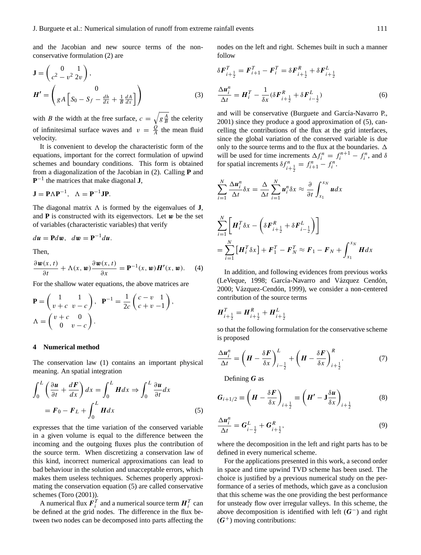and the Jacobian and new source terms of the nonconservative formulation (2) are

$$
\mathbf{J} = \begin{pmatrix} 0 & 1 \\ c^2 - v^2 & 2v \end{pmatrix},
$$

$$
\mathbf{H'} = \begin{pmatrix} 0 \\ gA \left[ S_0 - S_f - \frac{dh}{dx} + \frac{1}{B} \frac{dA}{dx} \right] \end{pmatrix}
$$
(3)

with *B* the width at the free surface,  $c = \sqrt{g \frac{A}{B}}$  the celerity of infinitesimal surface waves and  $v = \frac{Q}{A}$  $\frac{Q}{A}$  the mean fluid velocity.

It is convenient to develop the characteristic form of the equations, important for the correct formulation of upwind schemes and boundary conditions. This form is obtained from a diagonalization of the Jacobian in (2). Calling **P** and **P** −1 the matrices that make diagonal **J**,

$$
\mathbf{J} = \mathbf{P}\Lambda \mathbf{P}^{-1}, \ \Lambda = \mathbf{P}^{-1}\mathbf{J}\mathbf{P}.
$$

The diagonal matrix  $\Lambda$  is formed by the eigenvalues of **J**, and  $P$  is constructed with its eigenvectors. Let  $w$  be the set of variables (characteristic variables) that verify

$$
du = \mathbf{P}dw, \ \ dw = \mathbf{P}^{-1}du.
$$

Then,

$$
\frac{\partial \boldsymbol{w}(x,t)}{\partial t} + \Lambda(x, \boldsymbol{w}) \frac{\partial \boldsymbol{w}(x,t)}{\partial x} = \mathbf{P}^{-1}(x, \boldsymbol{w}) \boldsymbol{H}'(x, \boldsymbol{w}). \tag{4}
$$

For the shallow water equations, the above matrices are

$$
\mathbf{P} = \begin{pmatrix} 1 & 1 \\ v + c & v - c \end{pmatrix}, \quad \mathbf{P}^{-1} = \frac{1}{2c} \begin{pmatrix} c - v & 1 \\ c + v & -1 \end{pmatrix},
$$

$$
\Lambda = \begin{pmatrix} v + c & 0 \\ 0 & v - c \end{pmatrix}.
$$

### **4 Numerical method**

The conservation law (1) contains an important physical meaning. An spatial integration

$$
\int_0^L \left(\frac{\partial u}{\partial t} + \frac{dF}{dx}\right) dx = \int_0^L H dx \Rightarrow \int_0^L \frac{\partial u}{\partial t} dx
$$

$$
= F_0 - F_L + \int_0^L H dx \tag{5}
$$

expresses that the time variation of the conserved variable in a given volume is equal to the difference between the incoming and the outgoing fluxes plus the contribution of the source term. When discretizing a conservation law of this kind, incorrect numerical approximations can lead to bad behaviour in the solution and unacceptable errors, which makes them useless techniques. Schemes properly approximating the conservation equation (5) are called conservative schemes (Toro (2001)).

A numerical flux  $\boldsymbol{F}_i^T$  and a numerical source term  $\boldsymbol{H}_i^T$  can be defined at the grid nodes. The difference in the flux between two nodes can be decomposed into parts affecting the nodes on the left and right. Schemes built in such a manner follow

$$
\delta \boldsymbol{F}_{i+\frac{1}{2}}^{T} = \boldsymbol{F}_{i+1}^{T} - \boldsymbol{F}_{i}^{T} = \delta \boldsymbol{F}_{i+\frac{1}{2}}^{R} + \delta \boldsymbol{F}_{i+\frac{1}{2}}^{L}
$$
  

$$
\frac{\Delta \boldsymbol{u}_{i}^{n}}{\Delta t} = \boldsymbol{H}_{i}^{T} - \frac{1}{\delta x} (\delta \boldsymbol{F}_{i+\frac{1}{2}}^{R} + \delta \boldsymbol{F}_{i-\frac{1}{2}}^{L})
$$
(6)

and will be conservative (Burguete and García-Navarro P., 2001) since they produce a good approximation of (5), cancelling the contributions of the flux at the grid interfaces, since the global variation of the conserved variable is due only to the source terms and to the flux at the boundaries.  $\Delta$ will be used for time increments  $\Delta f_i^n = f_i^{n+1} - f_i^n$ , and  $\delta$ for spatial increments  $\delta f_{i+\frac{1}{2}}^n = f_{i+1}^n - f_i^n$ .

$$
\sum_{i=1}^{N} \frac{\Delta u_i^n}{\Delta t} \delta x = \frac{\Delta}{\Delta t} \sum_{i=1}^{N} u_i^n \delta x \approx \frac{\partial}{\partial t} \int_{x_1}^{x_N} u dx
$$
  

$$
\sum_{i=1}^{N} \left[ \boldsymbol{H}_i^T \delta x - \left( \delta \boldsymbol{F}_{i+\frac{1}{2}}^R + \delta \boldsymbol{F}_{i-\frac{1}{2}}^L \right) \right]
$$
  

$$
= \sum_{i=1}^{N} \left[ \boldsymbol{H}_i^T \delta x \right] + \boldsymbol{F}_1^T - \boldsymbol{F}_N^T \approx \boldsymbol{F}_1 - \boldsymbol{F}_N + \int_{x_1}^{x_N} \boldsymbol{H} dx
$$

In addition, and following evidences from previous works (LeVeque, 1998; García-Navarro and Vázquez Cendón, 2000; Vázquez-Cendón, 1999), we consider a non-centered contribution of the source terms

$$
\boldsymbol{H}_{i+\frac{1}{2}}^T = \boldsymbol{H}_{i+\frac{1}{2}}^R + \boldsymbol{H}_{i+\frac{1}{2}}^L
$$

so that the following formulation for the conservative scheme is proposed

$$
\frac{\Delta u_i^n}{\Delta t} = \left( H - \frac{\delta F}{\delta x} \right)_{i - \frac{1}{2}}^L + \left( H - \frac{\delta F}{\delta x} \right)_{i + \frac{1}{2}}^R. \tag{7}
$$

Defining  $G$  as

$$
G_{i+1/2} \equiv \left( H - \frac{\delta F}{\delta x} \right)_{i+\frac{1}{2}} \equiv \left( H' - \mathbf{J} \frac{\delta u}{\delta x} \right)_{i+\frac{1}{2}} \tag{8}
$$

$$
\frac{\Delta u_i^n}{\Delta t} = G_{i-\frac{1}{2}}^L + G_{i+\frac{1}{2}}^R,\tag{9}
$$

where the decomposition in the left and right parts has to be defined in every numerical scheme.

For the applications presented in this work, a second order in space and time upwind TVD scheme has been used. The choice is justified by a previous numerical study on the performance of a series of methods, which gave as a conclusion that this scheme was the one providing the best performance for unsteady flow over irregular valleys. In this scheme, the above decomposition is identified with left  $(G^-)$  and right  $(G<sup>+</sup>)$  moving contributions: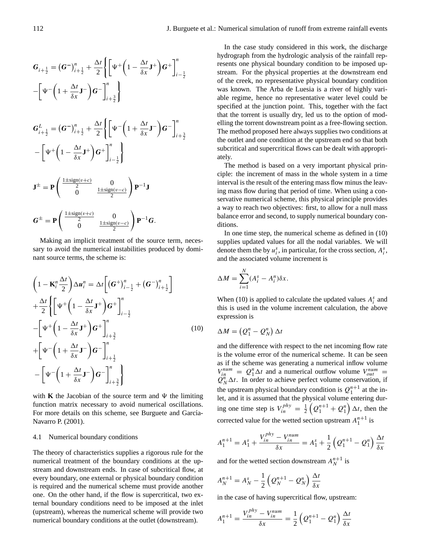$$
G_{i+\frac{1}{2}} = (G^{-})_{i+\frac{1}{2}}^{n} + \frac{\Delta t}{2} \left\{ \left[ \Psi^{+} \left( 1 - \frac{\Delta t}{\delta x} \mathbf{J}^{+} \right) G^{+} \right]_{i-\frac{1}{2}}^{n} - \left[ \Psi^{-} \left( 1 + \frac{\Delta t}{\delta x} \mathbf{J}^{-} \right) G^{-} \right]_{i+\frac{3}{2}}^{n} \right\}
$$
  
\n
$$
G_{i+\frac{1}{2}}^{L} = (G^{-})_{i+\frac{1}{2}}^{n} + \frac{\Delta t}{2} \left\{ \left[ \Psi^{-} \left( 1 + \frac{\Delta t}{\delta x} \mathbf{J}^{-} \right) G^{-} \right]_{i+\frac{3}{2}}^{n} - \left[ \Psi^{+} \left( 1 - \frac{\Delta t}{\delta x} \mathbf{J}^{+} \right) G^{+} \right]_{i-\frac{1}{2}}^{n} \right\}
$$
  
\n
$$
\mathbf{J}^{\pm} = \mathbf{P} \left( \begin{array}{c} \frac{1 + \text{sign}(v + c)}{2} & 0 \\ 0 & \frac{1 + \text{sign}(v - c)}{2} \end{array} \right) \mathbf{P}^{-1} \mathbf{J}
$$
  
\n
$$
G^{\pm} = \mathbf{P} \left( \begin{array}{c} \frac{1 + \text{sign}(v + c)}{2} & 0 \\ 0 & \frac{1 + \text{sign}(v - c)}{2} \end{array} \right) \mathbf{P}^{-1} G.
$$

Making an implicit treatment of the source term, necessary to avoid the numerical instabilities produced by dominant source terms, the scheme is:

$$
\left(1 - \mathbf{K}_i^n \frac{\Delta t}{2}\right) \Delta u_i^n = \Delta t \left[ \left(\mathbf{G}^+\right)_{i-\frac{1}{2}}^n + \left(\mathbf{G}^-\right)_{i+\frac{1}{2}}^n \right] \n+ \frac{\Delta t}{2} \left\{ \left[ \Psi^+ \left(1 - \frac{\Delta t}{\delta x} \mathbf{J}^+ \right) \mathbf{G}^+ \right]_{i-\frac{1}{2}}^n \n- \left[ \Psi^+ \left(1 - \frac{\Delta t}{\delta x} \mathbf{J}^+ \right) \mathbf{G}^+ \right]_{i+\frac{3}{2}}^n \n+ \left[ \Psi^- \left(1 + \frac{\Delta t}{\delta x} \mathbf{J}^- \right) \mathbf{G}^- \right]_{i+\frac{1}{2}}^n \n- \left[ \Psi^- \left(1 + \frac{\Delta t}{\delta x} \mathbf{J}^- \right) \mathbf{G}^- \right]_{i+\frac{3}{2}}^n \right\}
$$
\n(10)

with **K** the Jacobian of the source term and  $\Psi$  the limiting function matrix necessary to avoid numerical oscillations. For more details on this scheme, see Burguete and García-Navarro P. (2001).

#### 4.1 Numerical boundary conditions

The theory of characteristics supplies a rigorous rule for the numerical treatment of the boundary conditions at the upstream and downstream ends. In case of subcritical flow, at every boundary, one external or physical boundary condition is required and the numerical scheme must provide another one. On the other hand, if the flow is supercritical, two external boundary conditions need to be imposed at the inlet (upstream), whereas the numerical scheme will provide two numerical boundary conditions at the outlet (downstream).

In the case study considered in this work, the discharge hydrograph from the hydrologic analysis of the rainfall represents one physical boundary condition to be imposed upstream. For the physical properties at the downstream end of the creek, no representative physical boundary condition was known. The Arba de Luesia is a river of highly variable regime, hence no representative water level could be specified at the junction point. This, together with the fact that the torrent is usually dry, led us to the option of modelling the torrent downstream point as a free-flowing section. The method proposed here always supplies two conditions at the outlet and one condition at the upstream end so that both subcritical and supercritical flows can be dealt with appropriately.

The method is based on a very important physical principle: the increment of mass in the whole system in a time interval is the result of the entering mass flow minus the leaving mass flow during that period of time. When using a conservative numerical scheme, this physical principle provides a way to reach two objectives: first, to allow for a null mass balance error and second, to supply numerical boundary conditions.

In one time step, the numerical scheme as defined in (10) supplies updated values for all the nodal variables. We will denote them the by  $u_i^s$ , in particular, for the cross section,  $A_i^s$ , and the associated volume increment is

$$
\Delta M = \sum_{i=1}^{N} (A_i^s - A_i^n) \delta x.
$$

When (10) is applied to calculate the updated values  $A_i^s$  and this is used in the volume increment calculation, the above expression is

$$
\Delta M = (Q_1^n - Q_N^n) \Delta t
$$

and the difference with respect to the net incoming flow rate is the volume error of the numerical scheme. It can be seen as if the scheme was generating a numerical inflow volume  $V_{in}^{num} = Q_1^n \Delta t$  and a numerical outflow volume  $V_{out}^{num}$  $Q_N^n \Delta t$ . In order to achieve perfect volume conservation, if the upstream physical boundary condition is  $Q_1^{n+1}$  at the inlet, and it is assumed that the physical volume entering during one time step is  $V_{in}^{phy} = \frac{1}{2} \left( Q_1^{n+1} + Q_1^n \right) \Delta t$ , then the corrected value for the wetted section upstream  $A_1^{n+1}$  is

$$
A_1^{n+1} = A_1^s + \frac{V_{in}^{phy} - V_{in}^{num}}{\delta x} = A_1^s + \frac{1}{2} \left( Q_1^{n+1} - Q_1^n \right) \frac{\Delta t}{\delta x}
$$

and for the wetted section downstream  $A_N^{n+1}$  is

$$
A_N^{n+1} = A_N^s - \frac{1}{2} \left( Q_N^{n+1} - Q_N^n \right) \frac{\Delta t}{\delta x}
$$

in the case of having supercritical flow, upstream:

$$
A_1^{n+1} = \frac{V_{in}^{phy} - V_{in}^{num}}{\delta x} = \frac{1}{2} \left( Q_1^{n+1} - Q_1^{n} \right) \frac{\Delta t}{\delta x}
$$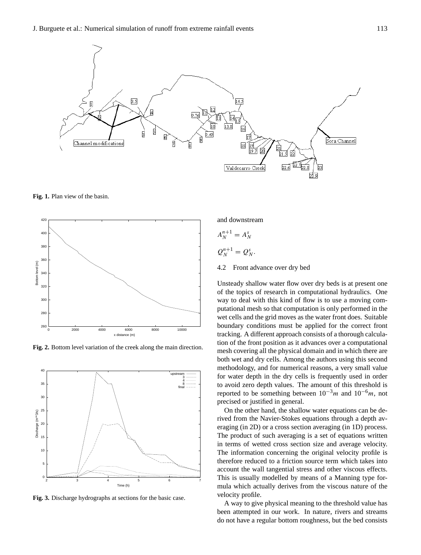

**Fig. 1.** Plan view of the basin.



**Fig. 2.** Bottom level variation of the creek along the main direction.



**Fig. 3.** Discharge hydrographs at sections for the basic case.

and downstream

$$
A_N^{n+1} = A_N^s
$$

$$
Q_N^{n+1}=Q_N^s.
$$

4.2 Front advance over dry bed

Unsteady shallow water flow over dry beds is at present one of the topics of research in computational hydraulics. One way to deal with this kind of flow is to use a moving computational mesh so that computation is only performed in the wet cells and the grid moves as the water front does. Suitable boundary conditions must be applied for the correct front tracking. A different approach consists of a thorough calculation of the front position as it advances over a computational mesh covering all the physical domain and in which there are both wet and dry cells. Among the authors using this second methodology, and for numerical reasons, a very small value for water depth in the dry cells is frequently used in order to avoid zero depth values. The amount of this threshold is reported to be something between  $10^{-3}m$  and  $10^{-6}m$ , not precised or justified in general.

On the other hand, the shallow water equations can be derived from the Navier-Stokes equations through a depth averaging (in 2D) or a cross section averaging (in 1D) process. The product of such averaging is a set of equations written in terms of wetted cross section size and average velocity. The information concerning the original velocity profile is therefore reduced to a friction source term which takes into account the wall tangential stress and other viscous effects. This is usually modelled by means of a Manning type formula which actually derives from the viscous nature of the velocity profile.

A way to give physical meaning to the threshold value has been attempted in our work. In nature, rivers and streams do not have a regular bottom roughness, but the bed consists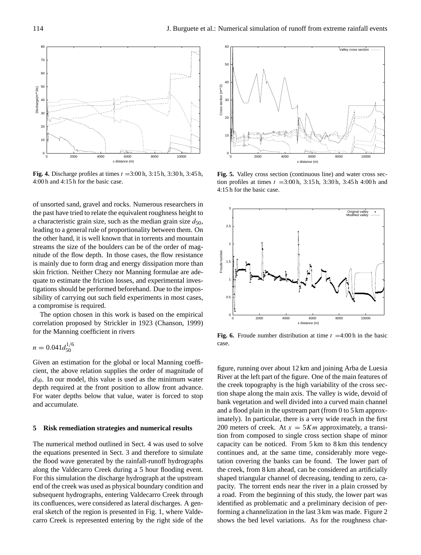

**Fig. 4.** Discharge profiles at times  $t = 3:00$  h,  $3:15$  h,  $3:30$  h,  $3:45$  h, 4:00 h and 4:15 h for the basic case.

of unsorted sand, gravel and rocks. Numerous researchers in the past have tried to relate the equivalent roughness height to a characteristic grain size, such as the median grain size  $d_{50}$ , leading to a general rule of proportionality between them. On the other hand, it is well known that in torrents and mountain streams the size of the boulders can be of the order of magnitude of the flow depth. In those cases, the flow resistance is mainly due to form drag and energy dissipation more than skin friction. Neither Chezy nor Manning formulae are adequate to estimate the friction losses, and experimental investigations should be performed beforehand. Due to the impossibility of carrying out such field experiments in most cases, a compromise is required.

The option chosen in this work is based on the empirical correlation proposed by Strickler in 1923 (Chanson, 1999) for the Manning coefficient in rivers

$$
n = 0.041 d_{50}^{1/6}
$$

Given an estimation for the global or local Manning coefficient, the above relation supplies the order of magnitude of  $d_{50}$ . In our model, this value is used as the minimum water depth required at the front position to allow front advance. For water depths below that value, water is forced to stop and accumulate.

#### **5 Risk remediation strategies and numerical results**

The numerical method outlined in Sect. 4 was used to solve the equations presented in Sect. 3 and therefore to simulate the flood wave generated by the rainfall-runoff hydrographs along the Valdecarro Creek during a 5 hour flooding event. For this simulation the discharge hydrograph at the upstream end of the creek was used as physical boundary condition and subsequent hydrographs, entering Valdecarro Creek through its confluences, were considered as lateral discharges. A general sketch of the region is presented in Fig. 1, where Valdecarro Creek is represented entering by the right side of the



**Fig. 5.** Valley cross section (continuous line) and water cross section profiles at times  $t = 3:00 \text{ h}$ ,  $3:15 \text{ h}$ ,  $3:30 \text{ h}$ ,  $3:45 \text{ h}$  4:00 h and 4:15 h for the basic case.



**Fig. 6.** Froude number distribution at time  $t = 4:00$  h in the basic case.

figure, running over about 12 km and joining Arba de Luesia River at the left part of the figure. One of the main features of the creek topography is the high variability of the cross section shape along the main axis. The valley is wide, devoid of bank vegetation and well divided into a curved main channel and a flood plain in the upstream part (from 0 to 5 km approximately). In particular, there is a very wide reach in the first 200 meters of creek. At  $x = 5Km$  approximately, a transition from composed to single cross section shape of minor capacity can be noticed. From 5 km to 8 km this tendency continues and, at the same time, considerably more vegetation covering the banks can be found. The lower part of the creek, from 8 km ahead, can be considered an artificially shaped triangular channel of decreasing, tending to zero, capacity. The torrent ends near the river in a plain crossed by a road. From the beginning of this study, the lower part was identified as problematic and a preliminary decision of performing a channelization in the last 3 km was made. Figure 2 shows the bed level variations. As for the roughness char-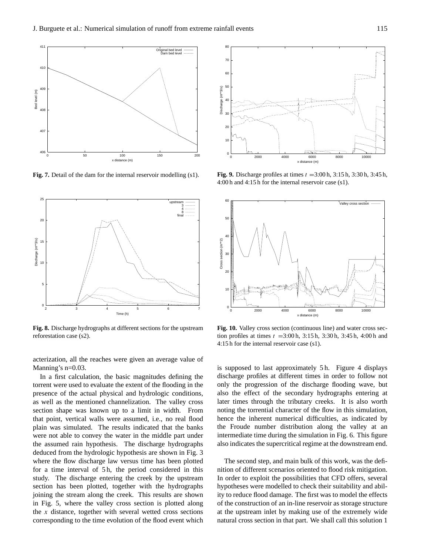

**Fig. 7.** Detail of the dam for the internal reservoir modelling (s1).



**Fig. 8.** Discharge hydrographs at different sections for the upstream reforestation case (s2).

acterization, all the reaches were given an average value of Manning's n=0.03.

In a first calculation, the basic magnitudes defining the torrent were used to evaluate the extent of the flooding in the presence of the actual physical and hydrologic conditions, as well as the mentioned channelization. The valley cross section shape was known up to a limit in width. From that point, vertical walls were assumed, i.e., no real flood plain was simulated. The results indicated that the banks were not able to convey the water in the middle part under the assumed rain hypothesis. The discharge hydrographs deduced from the hydrologic hypothesis are shown in Fig. 3 where the flow discharge law versus time has been plotted for a time interval of 5h, the period considered in this study. The discharge entering the creek by the upstream section has been plotted, together with the hydrographs joining the stream along the creek. This results are shown in Fig. 5, where the valley cross section is plotted along the  $x$  distance, together with several wetted cross sections corresponding to the time evolution of the flood event which



**Fig. 9.** Discharge profiles at times  $t = 3:00$  h,  $3:15$  h,  $3:30$  h,  $3:45$  h, 4:00 h and 4:15 h for the internal reservoir case (s1).



**Fig. 10.** Valley cross section (continuous line) and water cross section profiles at times  $t = 3:00 \text{ h}$ ,  $3:15 \text{ h}$ ,  $3:30 \text{ h}$ ,  $3:45 \text{ h}$ ,  $4:00 \text{ h}$  and 4:15 h for the internal reservoir case (s1).

is supposed to last approximately 5 h. Figure 4 displays discharge profiles at different times in order to follow not only the progression of the discharge flooding wave, but also the effect of the secondary hydrographs entering at later times through the tributary creeks. It is also worth noting the torrential character of the flow in this simulation, hence the inherent numerical difficulties, as indicated by the Froude number distribution along the valley at an intermediate time during the simulation in Fig. 6. This figure also indicates the supercritical regime at the downstream end.

The second step, and main bulk of this work, was the definition of different scenarios oriented to flood risk mitigation. In order to exploit the possibilities that CFD offers, several hypotheses were modelled to check their suitability and ability to reduce flood damage. The first was to model the effects of the construction of an in-line reservoir as storage structure at the upstream inlet by making use of the extremely wide natural cross section in that part. We shall call this solution 1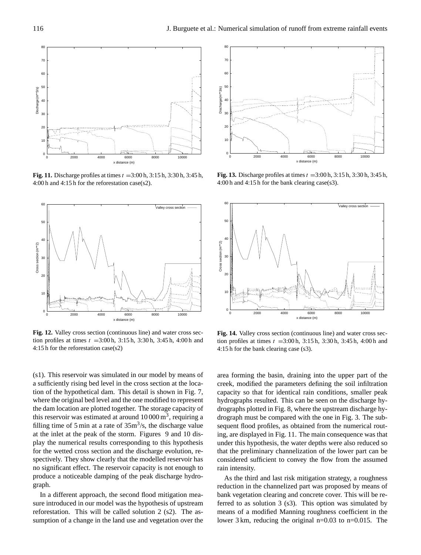

**Fig. 11.** Discharge profiles at times  $t = 3:00 \text{ h}$ ,  $3:15 \text{ h}$ ,  $3:30 \text{ h}$ ,  $3:45 \text{ h}$ , 4:00 h and 4:15 h for the reforestation case(s2).



**Fig. 12.** Valley cross section (continuous line) and water cross section profiles at times  $t = 3:00 \text{ h}$ ,  $3:15 \text{ h}$ ,  $3:30 \text{ h}$ ,  $3:45 \text{ h}$ ,  $4:00 \text{ h}$  and 4:15 h for the reforestation case(s2)

(s1). This reservoir was simulated in our model by means of a sufficiently rising bed level in the cross section at the location of the hypothetical dam. This detail is shown in Fig. 7, where the original bed level and the one modified to represent the dam location are plotted together. The storage capacity of this reservoir was estimated at around  $10000 \,\mathrm{m}^3$ , requiring a filling time of 5 min at a rate of  $35m^3/s$ , the discharge value at the inlet at the peak of the storm. Figures 9 and 10 display the numerical results corresponding to this hypothesis for the wetted cross section and the discharge evolution, respectively. They show clearly that the modelled reservoir has no significant effect. The reservoir capacity is not enough to produce a noticeable damping of the peak discharge hydrograph.

In a different approach, the second flood mitigation measure introduced in our model was the hypothesis of upstream reforestation. This will be called solution 2 (s2). The assumption of a change in the land use and vegetation over the



**Fig. 13.** Discharge profiles at times  $t = 3:00$  h,  $3:15$  h,  $3:30$  h,  $3:45$  h, 4:00 h and 4:15 h for the bank clearing case(s3).



**Fig. 14.** Valley cross section (continuous line) and water cross section profiles at times  $t = 3:00 \text{ h}$ ,  $3:15 \text{ h}$ ,  $3:30 \text{ h}$ ,  $3:45 \text{ h}$ ,  $4:00 \text{ h}$  and 4:15 h for the bank clearing case (s3).

area forming the basin, draining into the upper part of the creek, modified the parameters defining the soil infiltration capacity so that for identical rain conditions, smaller peak hydrographs resulted. This can be seen on the discharge hydrographs plotted in Fig. 8, where the upstream discharge hydrograph must be compared with the one in Fig. 3. The subsequent flood profiles, as obtained from the numerical routing, are displayed in Fig. 11. The main consequence was that under this hypothesis, the water depths were also reduced so that the preliminary channelization of the lower part can be considered sufficient to convey the flow from the assumed rain intensity.

As the third and last risk mitigation strategy, a roughness reduction in the channelized part was proposed by means of bank vegetation clearing and concrete cover. This will be referred to as solution 3 (s3). This option was simulated by means of a modified Manning roughness coefficient in the lower 3 km, reducing the original n=0.03 to n=0.015. The